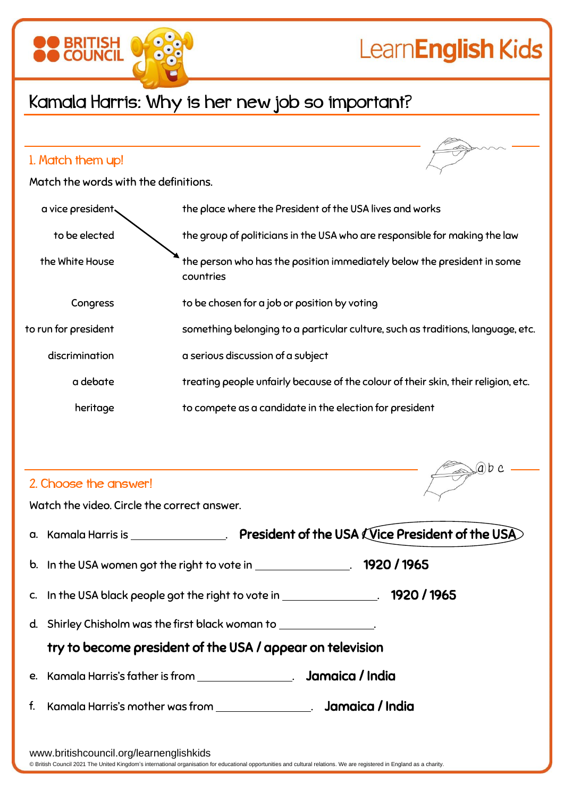

Match the words with the definitions.

| a vice president     | the place where the President of the USA lives and works                             |
|----------------------|--------------------------------------------------------------------------------------|
| to be elected        | the group of politicians in the USA who are responsible for making the law           |
| the White House      | the person who has the position immediately below the president in some<br>countries |
| Congress             | to be chosen for a job or position by voting                                         |
| to run for president | something belonging to a particular culture, such as traditions, language, etc.      |
| discrimination       | a serious discussion of a subject                                                    |
| a debate             | treating people unfairly because of the colour of their skin, their religion, etc.   |
| heritage             | to compete as a candidate in the election for president                              |

## 2. Choose the answer!

Watch the video. Circle the correct answer.

a. Kamala Harris is \_\_\_\_\_\_\_\_\_\_\_\_\_\_. President of the USA  $\widehat{\text{V}}$ ice President of the USA b. In the USA women got the right to vote in \_\_\_\_\_\_\_\_\_\_\_\_\_\_\_. 1920 / 1965

 $(a)$ b c

- c. In the USA black people got the right to vote in \_\_\_\_\_\_\_\_\_\_\_\_\_\_\_\_. 1920 / 1965
- d. Shirley Chisholm was the first black woman to .

try to become president of the USA / appear on television

- e. Kamala Harris's father is from . Jamaica / India
- f. Kamala Harris's mother was from . Jamaica / India

www.britishcouncil.org/learnenglishkids

© British Council 2021 The United Kingdom's international organisation for educational opportunities and cultural relations. We are registered in England as a charity.